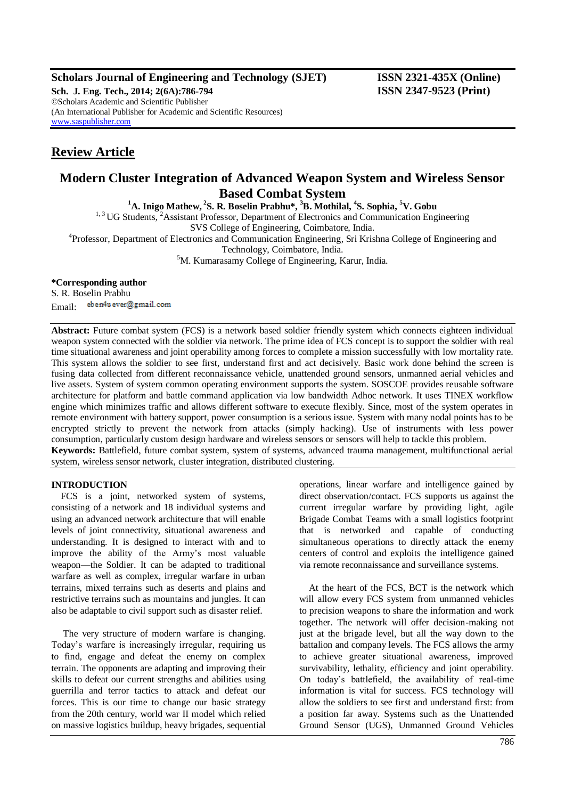## **Scholars Journal of Engineering and Technology (SJET) ISSN 2321-435X (Online)**

**Sch. J. Eng. Tech., 2014; 2(6A):786-794 ISSN 2347-9523 (Print)** ©Scholars Academic and Scientific Publisher (An International Publisher for Academic and Scientific Resources) [www.saspublisher.com](http://www.saspublisher.com/)

## **Review Article**

# **Modern Cluster Integration of Advanced Weapon System and Wireless Sensor Based Combat System <sup>1</sup>A. Inigo Mathew, <sup>2</sup> S. R. Boselin Prabhu\*, <sup>3</sup>B. Mothilal, <sup>4</sup> S. Sophia, <sup>5</sup>V. Gobu**

<sup>1, 3</sup> UG Students, <sup>2</sup>Assistant Professor, Department of Electronics and Communication Engineering

SVS College of Engineering, Coimbatore, India.

<sup>4</sup>Professor, Department of Electronics and Communication Engineering, Sri Krishna College of Engineering and

Technology, Coimbatore, India.

<sup>5</sup>M. Kumarasamy College of Engineering, Karur, India.

## **\*Corresponding author**

S. R. Boselin Prabhu eben4u ever@gmail.com Email:

**Abstract:** Future combat system (FCS) is a network based soldier friendly system which connects eighteen individual weapon system connected with the soldier via network. The prime idea of FCS concept is to support the soldier with real time situational awareness and joint operability among forces to complete a mission successfully with low mortality rate. This system allows the soldier to see first, understand first and act decisively. Basic work done behind the screen is fusing data collected from different reconnaissance vehicle, unattended ground sensors, unmanned aerial vehicles and live assets. System of system common operating environment supports the system. SOSCOE provides reusable software architecture for platform and battle command application via low bandwidth Adhoc network. It uses TINEX workflow engine which minimizes traffic and allows different software to execute flexibly. Since, most of the system operates in remote environment with battery support, power consumption is a serious issue. System with many nodal points has to be encrypted strictly to prevent the network from attacks (simply hacking). Use of instruments with less power consumption, particularly custom design hardware and wireless sensors or sensors will help to tackle this problem. **Keywords:** Battlefield, future combat system, system of systems, advanced trauma management, multifunctional aerial system, wireless sensor network, cluster integration, distributed clustering.

### **INTRODUCTION**

FCS is a joint, networked system of systems, consisting of a network and 18 individual systems and using an advanced network architecture that will enable levels of joint connectivity, situational awareness and understanding. It is designed to interact with and to improve the ability of the Army's most valuable weapon—the Soldier. It can be adapted to traditional warfare as well as complex, irregular warfare in urban terrains, mixed terrains such as deserts and plains and restrictive terrains such as mountains and jungles. It can also be adaptable to civil support such as disaster relief.

The very structure of modern warfare is changing. Today's warfare is increasingly irregular, requiring us to find, engage and defeat the enemy on complex terrain. The opponents are adapting and improving their skills to defeat our current strengths and abilities using guerrilla and terror tactics to attack and defeat our forces. This is our time to change our basic strategy from the 20th century, world war II model which relied on massive logistics buildup, heavy brigades, sequential operations, linear warfare and intelligence gained by direct observation/contact. FCS supports us against the current irregular warfare by providing light, agile Brigade Combat Teams with a small logistics footprint that is networked and capable of conducting simultaneous operations to directly attack the enemy centers of control and exploits the intelligence gained via remote reconnaissance and surveillance systems.

At the heart of the FCS, BCT is the network which will allow every FCS system from unmanned vehicles to precision weapons to share the information and work together. The network will offer decision-making not just at the brigade level, but all the way down to the battalion and company levels. The FCS allows the army to achieve greater situational awareness, improved survivability, lethality, efficiency and joint operability. On today's battlefield, the availability of real-time information is vital for success. FCS technology will allow the soldiers to see first and understand first: from a position far away. Systems such as the Unattended Ground Sensor (UGS), Unmanned Ground Vehicles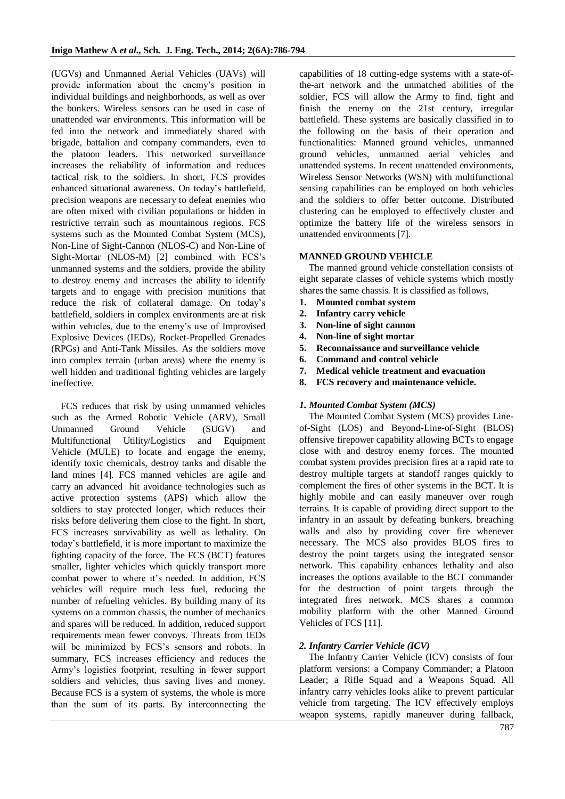(UGVs) and Unmanned Aerial Vehicles (UAVs) will provide information about the enemy's position in individual buildings and neighborhoods, as well as over the bunkers. Wireless sensors can be used in case of unattended war environments. This information will be fed into the network and immediately shared with brigade, battalion and company commanders, even to the platoon leaders. This networked surveillance increases the reliability of information and reduces tactical risk to the soldiers. In short, FCS provides enhanced situational awareness. On today's battlefield, precision weapons are necessary to defeat enemies who are often mixed with civilian populations or hidden in restrictive terrain such as mountainous regions. FCS systems such as the Mounted Combat System (MCS), Non-Line of Sight-Cannon (NLOS-C) and Non-Line of Sight-Mortar (NLOS-M) [2] combined with FCS's unmanned systems and the soldiers, provide the ability to destroy enemy and increases the ability to identify targets and to engage with precision munitions that reduce the risk of collateral damage. On today's battlefield, soldiers in complex environments are at risk within vehicles, due to the enemy's use of Improvised Explosive Devices (IEDs), Rocket-Propelled Grenades (RPGs) and Anti-Tank Missiles. As the soldiers move into complex terrain (urban areas) where the enemy is well hidden and traditional fighting vehicles are largely ineffective.

FCS reduces that risk by using unmanned vehicles such as the Armed Robotic Vehicle (ARV), Small Unmanned Ground Vehicle (SUGV) and Multifunctional Utility/Logistics and Equipment Vehicle (MULE) to locate and engage the enemy, identify toxic chemicals, destroy tanks and disable the land mines [4]. FCS manned vehicles are agile and carry an advanced hit avoidance technologies such as active protection systems (APS) which allow the soldiers to stay protected longer, which reduces their risks before delivering them close to the fight. In short, FCS increases survivability as well as lethality. On today's battlefield, it is more important to maximize the fighting capacity of the force. The FCS (BCT) features smaller, lighter vehicles which quickly transport more combat power to where it's needed. In addition, FCS vehicles will require much less fuel, reducing the number of refueling vehicles. By building many of its systems on a common chassis, the number of mechanics and spares will be reduced. In addition, reduced support requirements mean fewer convoys. Threats from IEDs will be minimized by FCS's sensors and robots. In summary, FCS increases efficiency and reduces the Army's logistics footprint, resulting in fewer support soldiers and vehicles, thus saving lives and money. Because FCS is a system of systems, the whole is more than the sum of its parts. By interconnecting the

capabilities of 18 cutting-edge systems with a state-ofthe-art network and the unmatched abilities of the soldier, FCS will allow the Army to find, fight and finish the enemy on the 21st century, irregular battlefield. These systems are basically classified in to the following on the basis of their operation and functionalities: Manned ground vehicles, unmanned ground vehicles, unmanned aerial vehicles and unattended systems. In recent unattended environments, Wireless Sensor Networks (WSN) with multifunctional sensing capabilities can be employed on both vehicles and the soldiers to offer better outcome. Distributed clustering can be employed to effectively cluster and optimize the battery life of the wireless sensors in unattended environments [7].

### **MANNED GROUND VEHICLE**

The manned ground vehicle constellation consists of eight separate classes of vehicle systems which mostly shares the same chassis. It is classified as follows,

- **1. Mounted combat system**
- **2. Infantry carry vehicle**
- **3. Non-line of sight cannon**
- **4. Non-line of sight mortar**
- **5. Reconnaissance and surveillance vehicle**
- **6. Command and control vehicle**
- **7. Medical vehicle treatment and evacuation**
- **8. FCS recovery and maintenance vehicle.**

#### *1. Mounted Combat System (MCS)*

The Mounted Combat System (MCS) provides Lineof-Sight (LOS) and Beyond-Line-of-Sight (BLOS) offensive firepower capability allowing BCTs to engage close with and destroy enemy forces. The mounted combat system provides precision fires at a rapid rate to destroy multiple targets at standoff ranges quickly to complement the fires of other systems in the BCT. It is highly mobile and can easily maneuver over rough terrains. It is capable of providing direct support to the infantry in an assault by defeating bunkers, breaching walls and also by providing cover fire whenever necessary. The MCS also provides BLOS fires to destroy the point targets using the integrated sensor network. This capability enhances lethality and also increases the options available to the BCT commander for the destruction of point targets through the integrated fires network. MCS shares a common mobility platform with the other Manned Ground Vehicles of FCS [11].

### *2. Infantry Carrier Vehicle (ICV)*

The Infantry Carrier Vehicle (ICV) consists of four platform versions: a Company Commander; a Platoon Leader; a Rifle Squad and a Weapons Squad. All infantry carry vehicles looks alike to prevent particular vehicle from targeting. The ICV effectively employs weapon systems, rapidly maneuver during fallback,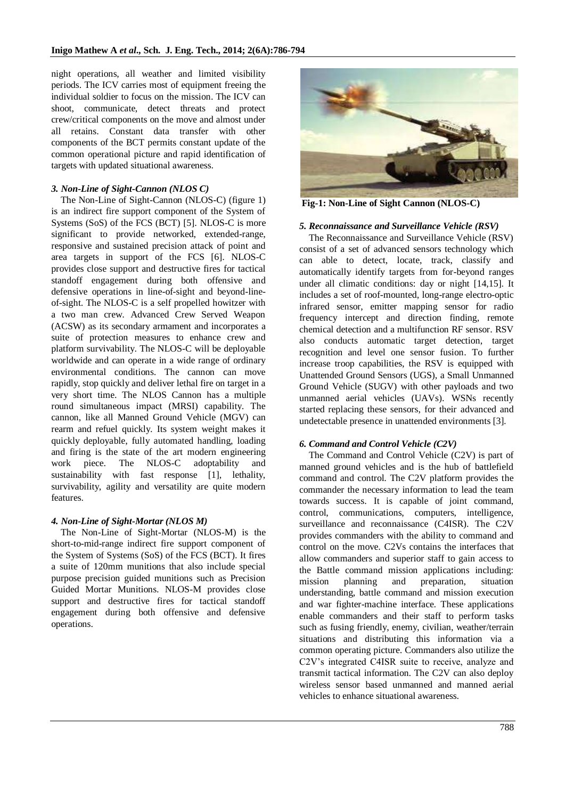night operations, all weather and limited visibility periods. The ICV carries most of equipment freeing the individual soldier to focus on the mission. The ICV can shoot, communicate, detect threats and protect crew/critical components on the move and almost under all retains. Constant data transfer with other components of the BCT permits constant update of the common operational picture and rapid identification of targets with updated situational awareness.

#### *3. Non-Line of Sight-Cannon (NLOS C)*

The Non-Line of Sight-Cannon (NLOS-C) (figure 1) is an indirect fire support component of the System of Systems (SoS) of the FCS (BCT) [5]. NLOS-C is more significant to provide networked, extended-range, responsive and sustained precision attack of point and area targets in support of the FCS [6]. NLOS-C provides close support and destructive fires for tactical standoff engagement during both offensive and defensive operations in line-of-sight and beyond-lineof-sight. The NLOS-C is a self propelled howitzer with a two man crew. Advanced Crew Served Weapon (ACSW) as its secondary armament and incorporates a suite of protection measures to enhance crew and platform survivability. The NLOS-C will be deployable worldwide and can operate in a wide range of ordinary environmental conditions. The cannon can move rapidly, stop quickly and deliver lethal fire on target in a very short time. The NLOS Cannon has a multiple round simultaneous impact (MRSI) capability. The cannon, like all Manned Ground Vehicle (MGV) can rearm and refuel quickly. Its system weight makes it quickly deployable, fully automated handling, loading and firing is the state of the art modern engineering work piece. The NLOS-C adoptability and sustainability with fast response [1], lethality, survivability, agility and versatility are quite modern features.

#### *4. Non-Line of Sight-Mortar (NLOS M)*

The Non-Line of Sight-Mortar (NLOS-M) is the short-to-mid-range indirect fire support component of the System of Systems (SoS) of the FCS (BCT). It fires a suite of 120mm munitions that also include special purpose precision guided munitions such as Precision Guided Mortar Munitions. NLOS-M provides close support and destructive fires for tactical standoff engagement during both offensive and defensive operations.



**Fig-1: Non-Line of Sight Cannon (NLOS-C)**

#### *5. Reconnaissance and Surveillance Vehicle (RSV)*

The Reconnaissance and Surveillance Vehicle (RSV) consist of a set of advanced sensors technology which can able to detect, locate, track, classify and automatically identify targets from for-beyond ranges under all climatic conditions: day or night [14,15]. It includes a set of roof-mounted, long-range electro-optic infrared sensor, emitter mapping sensor for radio frequency intercept and direction finding, remote chemical detection and a multifunction RF sensor. RSV also conducts automatic target detection, target recognition and level one sensor fusion. To further increase troop capabilities, the RSV is equipped with Unattended Ground Sensors (UGS), a Small Unmanned Ground Vehicle (SUGV) with other payloads and two unmanned aerial vehicles (UAVs). WSNs recently started replacing these sensors, for their advanced and undetectable presence in unattended environments [3].

#### *6. Command and Control Vehicle (C2V)*

The Command and Control Vehicle (C2V) is part of manned ground vehicles and is the hub of battlefield command and control. The C2V platform provides the commander the necessary information to lead the team towards success. It is capable of joint command, control, communications, computers, intelligence, surveillance and reconnaissance (C4ISR). The C2V provides commanders with the ability to command and control on the move. C2Vs contains the interfaces that allow commanders and superior staff to gain access to the Battle command mission applications including: mission planning and preparation, situation understanding, battle command and mission execution and war fighter-machine interface. These applications enable commanders and their staff to perform tasks such as fusing friendly, enemy, civilian, weather/terrain situations and distributing this information via a common operating picture. Commanders also utilize the C2V's integrated C4ISR suite to receive, analyze and transmit tactical information. The C2V can also deploy wireless sensor based unmanned and manned aerial vehicles to enhance situational awareness.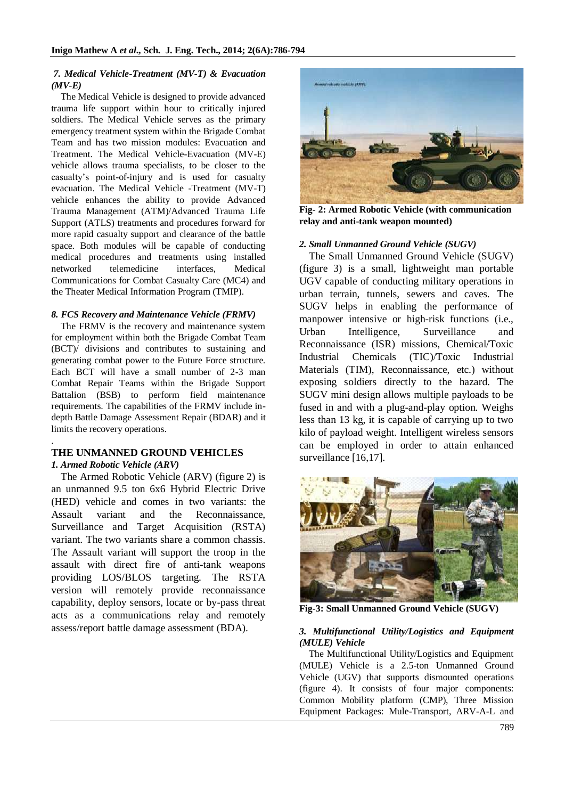### *7. Medical Vehicle-Treatment (MV-T) & Evacuation (MV-E)*

The Medical Vehicle is designed to provide advanced trauma life support within hour to critically injured soldiers. The Medical Vehicle serves as the primary emergency treatment system within the Brigade Combat Team and has two mission modules: Evacuation and Treatment. The Medical Vehicle-Evacuation (MV-E) vehicle allows trauma specialists, to be closer to the casualty's point-of-injury and is used for casualty evacuation. The Medical Vehicle -Treatment (MV-T) vehicle enhances the ability to provide Advanced Trauma Management (ATM)/Advanced Trauma Life Support (ATLS) treatments and procedures forward for more rapid casualty support and clearance of the battle space. Both modules will be capable of conducting medical procedures and treatments using installed networked telemedicine interfaces, Medical Communications for Combat Casualty Care (MC4) and the Theater Medical Information Program (TMIP).

## *8. FCS Recovery and Maintenance Vehicle (FRMV)*

The FRMV is the recovery and maintenance system for employment within both the Brigade Combat Team (BCT)/ divisions and contributes to sustaining and generating combat power to the Future Force structure. Each BCT will have a small number of 2-3 man Combat Repair Teams within the Brigade Support Battalion (BSB) to perform field maintenance requirements. The capabilities of the FRMV include indepth Battle Damage Assessment Repair (BDAR) and it limits the recovery operations.

### . **THE UNMANNED GROUND VEHICLES** *1. Armed Robotic Vehicle (ARV)*

The Armed Robotic Vehicle (ARV) (figure 2) is an unmanned 9.5 ton 6x6 Hybrid Electric Drive (HED) vehicle and comes in two variants: the Assault variant and the Reconnaissance, Surveillance and Target Acquisition (RSTA) variant. The two variants share a common chassis. The Assault variant will support the troop in the assault with direct fire of anti-tank weapons providing LOS/BLOS targeting. The RSTA version will remotely provide reconnaissance capability, deploy sensors, locate or by-pass threat acts as a communications relay and remotely assess/report battle damage assessment (BDA).



**Fig- 2: Armed Robotic Vehicle (with communication relay and anti-tank weapon mounted)**

## *2. Small Unmanned Ground Vehicle (SUGV)*

The Small Unmanned Ground Vehicle (SUGV) (figure 3) is a small, lightweight man portable UGV capable of conducting military operations in urban terrain, tunnels, sewers and caves. The SUGV helps in enabling the performance of manpower intensive or high-risk functions (i.e., Urban Intelligence, Surveillance and Reconnaissance (ISR) missions, Chemical/Toxic Industrial Chemicals (TIC)/Toxic Industrial Materials (TIM), Reconnaissance, etc.) without exposing soldiers directly to the hazard. The SUGV mini design allows multiple payloads to be fused in and with a plug-and-play option. Weighs less than 13 kg, it is capable of carrying up to two kilo of payload weight. Intelligent wireless sensors can be employed in order to attain enhanced surveillance [16,17].



**Fig-3: Small Unmanned Ground Vehicle (SUGV)**

### *3. Multifunctional Utility/Logistics and Equipment (MULE) Vehicle*

The Multifunctional Utility/Logistics and Equipment (MULE) Vehicle is a 2.5-ton Unmanned Ground Vehicle (UGV) that supports dismounted operations (figure 4). It consists of four major components: Common Mobility platform (CMP), Three Mission Equipment Packages: Mule-Transport, ARV-A-L and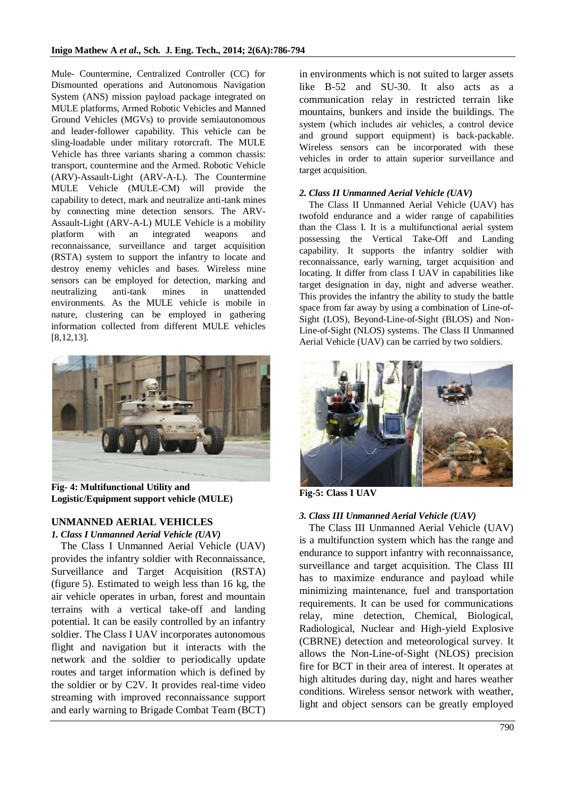Mule- Countermine, Centralized Controller (CC) for Dismounted operations and Autonomous Navigation System (ANS) mission payload package integrated on MULE platforms, Armed Robotic Vehicles and Manned Ground Vehicles (MGVs) to provide semiautonomous and leader-follower capability. This vehicle can be sling-loadable under military rotorcraft. The MULE Vehicle has three variants sharing a common chassis: transport, countermine and the Armed. Robotic Vehicle (ARV)-Assault-Light (ARV-A-L). The Countermine MULE Vehicle (MULE-CM) will provide the capability to detect, mark and neutralize anti-tank mines by connecting mine detection sensors. The ARV-Assault-Light (ARV-A-L) MULE Vehicle is a mobility platform with an integrated weapons and reconnaissance, surveillance and target acquisition (RSTA) system to support the infantry to locate and destroy enemy vehicles and bases. Wireless mine sensors can be employed for detection, marking and neutralizing anti-tank mines in unattended environments. As the MULE vehicle is mobile in nature, clustering can be employed in gathering information collected from different MULE vehicles [8,12,13].



**Fig- 4: Multifunctional Utility and Logistic/Equipment support vehicle (MULE)**

## **UNMANNED AERIAL VEHICLES**

## *1. Class I Unmanned Aerial Vehicle (UAV)*

The Class I Unmanned Aerial Vehicle (UAV) provides the infantry soldier with Reconnaissance, Surveillance and Target Acquisition (RSTA) (figure 5). Estimated to weigh less than 16 kg, the air vehicle operates in urban, forest and mountain terrains with a vertical take-off and landing potential. It can be easily controlled by an infantry soldier. The Class I UAV incorporates autonomous flight and navigation but it interacts with the network and the soldier to periodically update routes and target information which is defined by the soldier or by C2V. It provides real-time video streaming with improved reconnaissance support and early warning to Brigade Combat Team (BCT) in environments which is not suited to larger assets like B-52 and SU-30. It also acts as a communication relay in restricted terrain like mountains, bunkers and inside the buildings. The system (which includes air vehicles, a control device and ground support equipment) is back-packable. Wireless sensors can be incorporated with these vehicles in order to attain superior surveillance and target acquisition.

## *2. Class II Unmanned Aerial Vehicle (UAV)*

The Class II Unmanned Aerial Vehicle (UAV) has twofold endurance and a wider range of capabilities than the Class I. It is a multifunctional aerial system possessing the Vertical Take-Off and Landing capability. It supports the infantry soldier with reconnaissance, early warning, target acquisition and locating. It differ from class I UAV in capabilities like target designation in day, night and adverse weather. This provides the infantry the ability to study the battle space from far away by using a combination of Line-of-Sight (LOS), Beyond-Line-of-Sight (BLOS) and Non-Line-of-Sight (NLOS) systems. The Class II Unmanned Aerial Vehicle (UAV) can be carried by two soldiers.



**Fig-5: Class I UAV**

## *3. Class III Unmanned Aerial Vehicle (UAV)*

The Class III Unmanned Aerial Vehicle (UAV) is a multifunction system which has the range and endurance to support infantry with reconnaissance, surveillance and target acquisition. The Class III has to maximize endurance and payload while minimizing maintenance, fuel and transportation requirements. It can be used for communications relay, mine detection, Chemical, Biological, Radiological, Nuclear and High-yield Explosive (CBRNE) detection and meteorological survey. It allows the Non-Line-of-Sight (NLOS) precision fire for BCT in their area of interest. It operates at high altitudes during day, night and hares weather conditions. Wireless sensor network with weather, light and object sensors can be greatly employed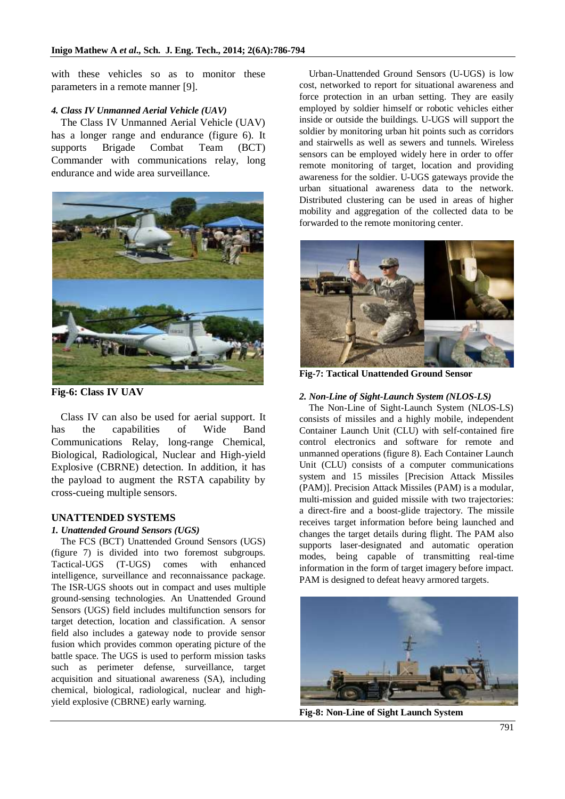with these vehicles so as to monitor these parameters in a remote manner [9].

#### *4. Class IV Unmanned Aerial Vehicle (UAV)*

The Class IV Unmanned Aerial Vehicle (UAV) has a longer range and endurance (figure 6). It supports Brigade Combat Team (BCT) Commander with communications relay, long endurance and wide area surveillance.



**Fig-6: Class IV UAV**

Class IV can also be used for aerial support. It has the capabilities of Wide Band Communications Relay, long-range Chemical, Biological, Radiological, Nuclear and High-yield Explosive (CBRNE) detection. In addition, it has the payload to augment the RSTA capability by cross-cueing multiple sensors.

## **UNATTENDED SYSTEMS**

#### *1. Unattended Ground Sensors (UGS)*

The FCS (BCT) Unattended Ground Sensors (UGS) (figure 7) is divided into two foremost subgroups. Tactical-UGS (T-UGS) comes with enhanced intelligence, surveillance and reconnaissance package. The ISR-UGS shoots out in compact and uses multiple ground-sensing technologies. An Unattended Ground Sensors (UGS) field includes multifunction sensors for target detection, location and classification. A sensor field also includes a gateway node to provide sensor fusion which provides common operating picture of the battle space. The UGS is used to perform mission tasks such as perimeter defense, surveillance, target acquisition and situational awareness (SA), including chemical, biological, radiological, nuclear and highyield explosive (CBRNE) early warning.

Urban-Unattended Ground Sensors (U-UGS) is low cost, networked to report for situational awareness and force protection in an urban setting. They are easily employed by soldier himself or robotic vehicles either inside or outside the buildings. U-UGS will support the soldier by monitoring urban hit points such as corridors and stairwells as well as sewers and tunnels. Wireless sensors can be employed widely here in order to offer remote monitoring of target, location and providing awareness for the soldier. U-UGS gateways provide the urban situational awareness data to the network. Distributed clustering can be used in areas of higher mobility and aggregation of the collected data to be forwarded to the remote monitoring center.



**Fig-7: Tactical Unattended Ground Sensor**

## *2. Non-Line of Sight-Launch System (NLOS-LS)*

The Non-Line of Sight-Launch System (NLOS-LS) consists of missiles and a highly mobile, independent Container Launch Unit (CLU) with self-contained fire control electronics and software for remote and unmanned operations (figure 8). Each Container Launch Unit (CLU) consists of a computer communications system and 15 missiles [Precision Attack Missiles (PAM)]. Precision Attack Missiles (PAM) is a modular, multi-mission and guided missile with two trajectories: a direct-fire and a boost-glide trajectory. The missile receives target information before being launched and changes the target details during flight. The PAM also supports laser-designated and automatic operation modes, being capable of transmitting real-time information in the form of target imagery before impact. PAM is designed to defeat heavy armored targets.



**Fig-8: Non-Line of Sight Launch System**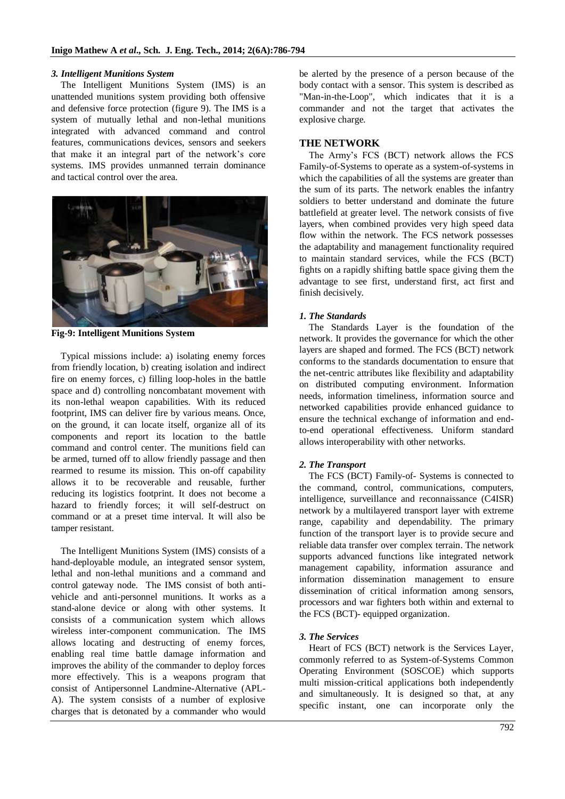#### *3. Intelligent Munitions System*

The Intelligent Munitions System (IMS) is an unattended munitions system providing both offensive and defensive force protection (figure 9). The IMS is a system of mutually lethal and non-lethal munitions integrated with advanced command and control features, communications devices, sensors and seekers that make it an integral part of the network's core systems. IMS provides unmanned terrain dominance and tactical control over the area.



**Fig-9: Intelligent Munitions System**

Typical missions include: a) isolating enemy forces from friendly location, b) creating isolation and indirect fire on enemy forces, c) filling loop-holes in the battle space and d) controlling noncombatant movement with its non-lethal weapon capabilities. With its reduced footprint, IMS can deliver fire by various means. Once, on the ground, it can locate itself, organize all of its components and report its location to the battle command and control center. The munitions field can be armed, turned off to allow friendly passage and then rearmed to resume its mission. This on-off capability allows it to be recoverable and reusable, further reducing its logistics footprint. It does not become a hazard to friendly forces; it will self-destruct on command or at a preset time interval. It will also be tamper resistant.

The Intelligent Munitions System (IMS) consists of a hand-deployable module, an integrated sensor system, lethal and non-lethal munitions and a command and control gateway node. The IMS consist of both antivehicle and anti-personnel munitions. It works as a stand-alone device or along with other systems. It consists of a communication system which allows wireless inter-component communication. The IMS allows locating and destructing of enemy forces, enabling real time battle damage information and improves the ability of the commander to deploy forces more effectively. This is a weapons program that consist of Antipersonnel Landmine-Alternative (APL-A). The system consists of a number of explosive charges that is detonated by a commander who would

be alerted by the presence of a person because of the body contact with a sensor. This system is described as "Man-in-the-Loop", which indicates that it is a commander and not the target that activates the explosive charge.

## **THE NETWORK**

The Army's FCS (BCT) network allows the FCS Family-of-Systems to operate as a system-of-systems in which the capabilities of all the systems are greater than the sum of its parts. The network enables the infantry soldiers to better understand and dominate the future battlefield at greater level. The network consists of five layers, when combined provides very high speed data flow within the network. The FCS network possesses the adaptability and management functionality required to maintain standard services, while the FCS (BCT) fights on a rapidly shifting battle space giving them the advantage to see first, understand first, act first and finish decisively.

## *1. The Standards*

The Standards Layer is the foundation of the network. It provides the governance for which the other layers are shaped and formed. The FCS (BCT) network conforms to the standards documentation to ensure that the net-centric attributes like flexibility and adaptability on distributed computing environment. Information needs, information timeliness, information source and networked capabilities provide enhanced guidance to ensure the technical exchange of information and endto-end operational effectiveness. Uniform standard allows interoperability with other networks.

## *2. The Transport*

The FCS (BCT) Family-of- Systems is connected to the command, control, communications, computers, intelligence, surveillance and reconnaissance (C4ISR) network by a multilayered transport layer with extreme range, capability and dependability. The primary function of the transport layer is to provide secure and reliable data transfer over complex terrain. The network supports advanced functions like integrated network management capability, information assurance and information dissemination management to ensure dissemination of critical information among sensors, processors and war fighters both within and external to the FCS (BCT)- equipped organization.

### *3. The Services*

Heart of FCS (BCT) network is the Services Layer, commonly referred to as System-of-Systems Common Operating Environment (SOSCOE) which supports multi mission-critical applications both independently and simultaneously. It is designed so that, at any specific instant, one can incorporate only the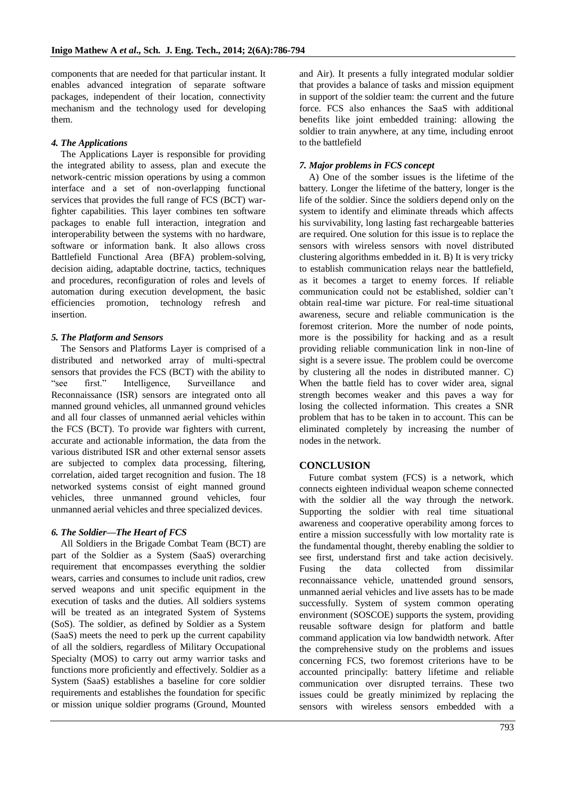components that are needed for that particular instant. It enables advanced integration of separate software packages, independent of their location, connectivity mechanism and the technology used for developing them.

## *4. The Applications*

The Applications Layer is responsible for providing the integrated ability to assess, plan and execute the network-centric mission operations by using a common interface and a set of non-overlapping functional services that provides the full range of FCS (BCT) warfighter capabilities. This layer combines ten software packages to enable full interaction, integration and interoperability between the systems with no hardware, software or information bank. It also allows cross Battlefield Functional Area (BFA) problem-solving, decision aiding, adaptable doctrine, tactics, techniques and procedures, reconfiguration of roles and levels of automation during execution development, the basic efficiencies promotion, technology refresh and insertion.

## *5. The Platform and Sensors*

The Sensors and Platforms Layer is comprised of a distributed and networked array of multi-spectral sensors that provides the FCS (BCT) with the ability to "see first." Intelligence, Surveillance and Reconnaissance (ISR) sensors are integrated onto all manned ground vehicles, all unmanned ground vehicles and all four classes of unmanned aerial vehicles within the FCS (BCT). To provide war fighters with current, accurate and actionable information, the data from the various distributed ISR and other external sensor assets are subjected to complex data processing, filtering, correlation, aided target recognition and fusion. The 18 networked systems consist of eight manned ground vehicles, three unmanned ground vehicles, four unmanned aerial vehicles and three specialized devices.

### *6. The Soldier—The Heart of FCS*

All Soldiers in the Brigade Combat Team (BCT) are part of the Soldier as a System (SaaS) overarching requirement that encompasses everything the soldier wears, carries and consumes to include unit radios, crew served weapons and unit specific equipment in the execution of tasks and the duties. All soldiers systems will be treated as an integrated System of Systems (SoS). The soldier, as defined by Soldier as a System (SaaS) meets the need to perk up the current capability of all the soldiers, regardless of Military Occupational Specialty (MOS) to carry out army warrior tasks and functions more proficiently and effectively. Soldier as a System (SaaS) establishes a baseline for core soldier requirements and establishes the foundation for specific or mission unique soldier programs (Ground, Mounted

and Air). It presents a fully integrated modular soldier that provides a balance of tasks and mission equipment in support of the soldier team: the current and the future force. FCS also enhances the SaaS with additional benefits like joint embedded training: allowing the soldier to train anywhere, at any time, including enroot to the battlefield

## *7. Major problems in FCS concept*

A) One of the somber issues is the lifetime of the battery. Longer the lifetime of the battery, longer is the life of the soldier. Since the soldiers depend only on the system to identify and eliminate threads which affects his survivability, long lasting fast rechargeable batteries are required. One solution for this issue is to replace the sensors with wireless sensors with novel distributed clustering algorithms embedded in it. B) It is very tricky to establish communication relays near the battlefield, as it becomes a target to enemy forces. If reliable communication could not be established, soldier can't obtain real-time war picture. For real-time situational awareness, secure and reliable communication is the foremost criterion. More the number of node points, more is the possibility for hacking and as a result providing reliable communication link in non-line of sight is a severe issue. The problem could be overcome by clustering all the nodes in distributed manner. C) When the battle field has to cover wider area, signal strength becomes weaker and this paves a way for losing the collected information. This creates a SNR problem that has to be taken in to account. This can be eliminated completely by increasing the number of nodes in the network.

## **CONCLUSION**

Future combat system (FCS) is a network, which connects eighteen individual weapon scheme connected with the soldier all the way through the network. Supporting the soldier with real time situational awareness and cooperative operability among forces to entire a mission successfully with low mortality rate is the fundamental thought, thereby enabling the soldier to see first, understand first and take action decisively. Fusing the data collected from dissimilar reconnaissance vehicle, unattended ground sensors, unmanned aerial vehicles and live assets has to be made successfully. System of system common operating environment (SOSCOE) supports the system, providing reusable software design for platform and battle command application via low bandwidth network. After the comprehensive study on the problems and issues concerning FCS, two foremost criterions have to be accounted principally: battery lifetime and reliable communication over disrupted terrains. These two issues could be greatly minimized by replacing the sensors with wireless sensors embedded with a